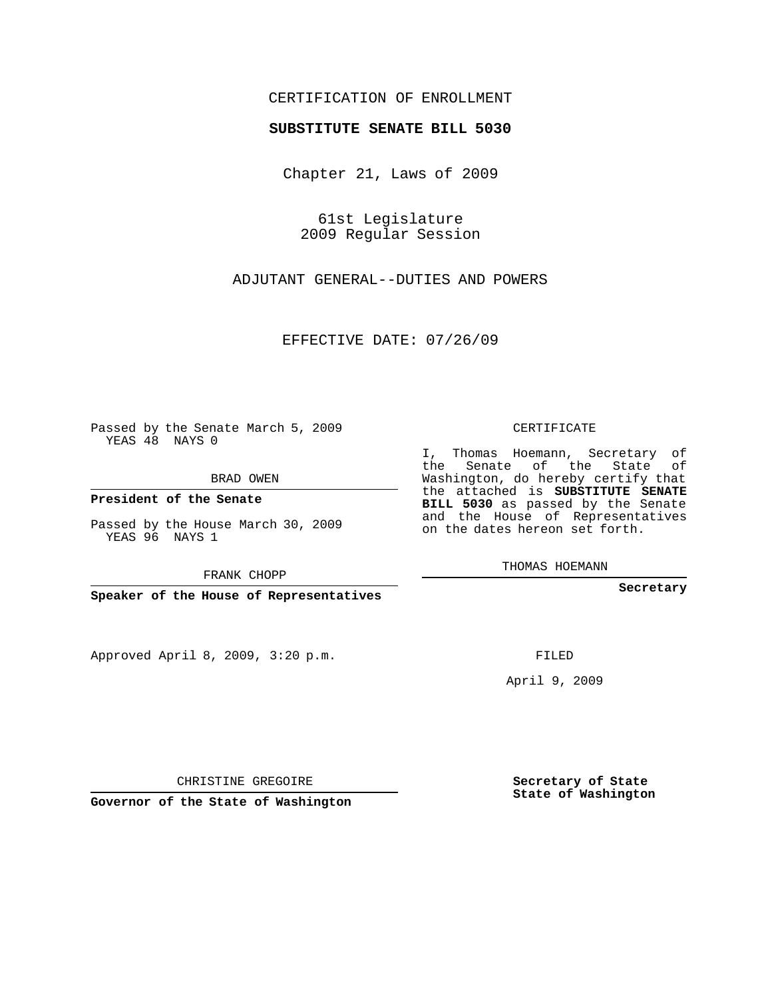## CERTIFICATION OF ENROLLMENT

## **SUBSTITUTE SENATE BILL 5030**

Chapter 21, Laws of 2009

61st Legislature 2009 Regular Session

ADJUTANT GENERAL--DUTIES AND POWERS

EFFECTIVE DATE: 07/26/09

Passed by the Senate March 5, 2009 YEAS 48 NAYS 0

BRAD OWEN

**President of the Senate**

Passed by the House March 30, 2009 YEAS 96 NAYS 1

FRANK CHOPP

**Speaker of the House of Representatives**

Approved April 8, 2009, 3:20 p.m.

CERTIFICATE

I, Thomas Hoemann, Secretary of the Senate of the State of Washington, do hereby certify that the attached is **SUBSTITUTE SENATE BILL 5030** as passed by the Senate and the House of Representatives on the dates hereon set forth.

THOMAS HOEMANN

**Secretary**

FILED

April 9, 2009

**Secretary of State State of Washington**

CHRISTINE GREGOIRE

**Governor of the State of Washington**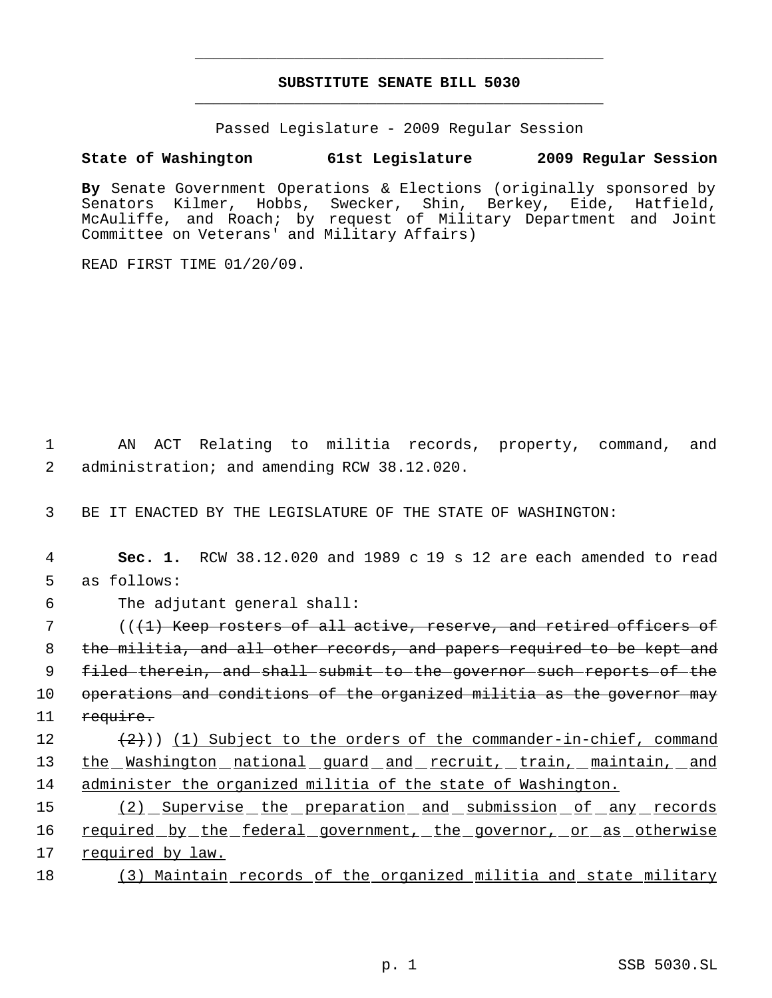## **SUBSTITUTE SENATE BILL 5030** \_\_\_\_\_\_\_\_\_\_\_\_\_\_\_\_\_\_\_\_\_\_\_\_\_\_\_\_\_\_\_\_\_\_\_\_\_\_\_\_\_\_\_\_\_

\_\_\_\_\_\_\_\_\_\_\_\_\_\_\_\_\_\_\_\_\_\_\_\_\_\_\_\_\_\_\_\_\_\_\_\_\_\_\_\_\_\_\_\_\_

Passed Legislature - 2009 Regular Session

## **State of Washington 61st Legislature 2009 Regular Session**

**By** Senate Government Operations & Elections (originally sponsored by Senators Kilmer, Hobbs, Swecker, Shin, Berkey, Eide, Hatfield, McAuliffe, and Roach; by request of Military Department and Joint Committee on Veterans' and Military Affairs)

READ FIRST TIME 01/20/09.

 1 AN ACT Relating to militia records, property, command, and 2 administration; and amending RCW 38.12.020.

3 BE IT ENACTED BY THE LEGISLATURE OF THE STATE OF WASHINGTON:

 4 **Sec. 1.** RCW 38.12.020 and 1989 c 19 s 12 are each amended to read 5 as follows:

6 The adjutant general shall:

7 ((<del>(1) Keep rosters of all active, reserve, and retired officers of</del> 8 the militia, and all other records, and papers required to be kept and 9 filed therein, and shall submit to the governor such reports of the 10 operations and conditions of the organized militia as the governor may 11 require. 12  $(2)$ ) (1) Subject to the orders of the commander-in-chief, command

13 the Washington national guard and recruit, train, maintain, and 14 administer the organized militia of the state of Washington.

15 (2) Supervise the preparation and submission of any records 16 required by the federal government, the governor, or as otherwise 17 required by law.

18 (3) Maintain records of the organized militia and state military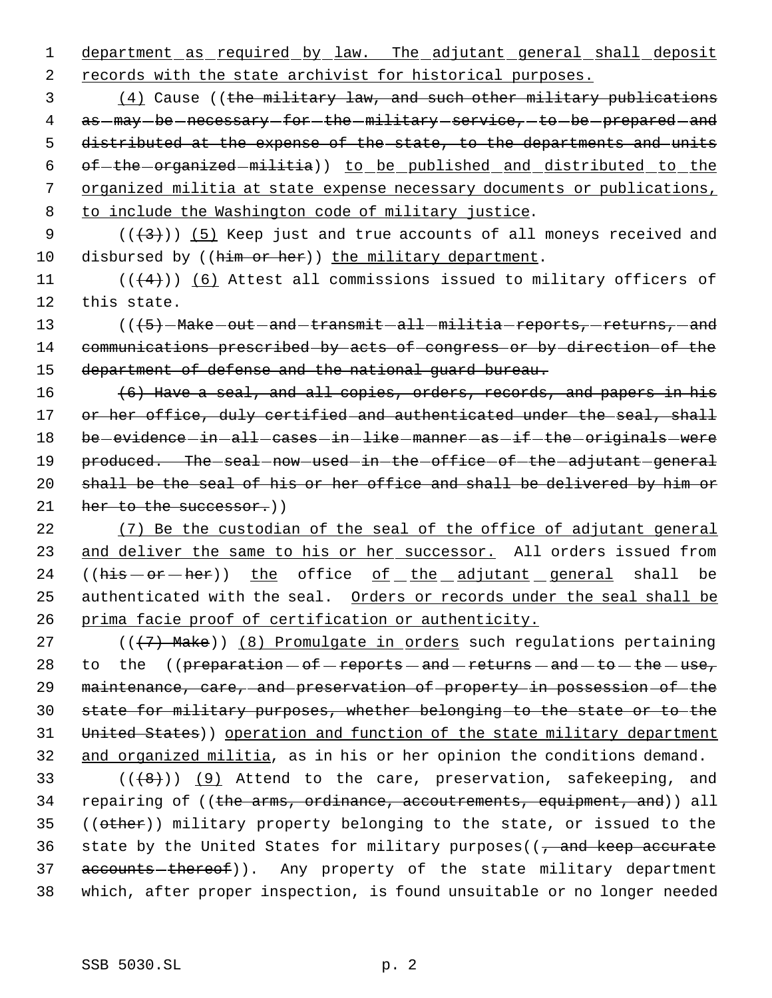1 department as required by law. The adjutant general shall deposit 2 records with the state archivist for historical purposes.

 (4) Cause ((the military law, and such other military publications 4 as  $-may$  be necessary for the  $-military$  service, to be prepared and distributed at the expense of the state, to the departments and units 6 of-the organized militia)) to be published and distributed to the organized militia at state expense necessary documents or publications, to include the Washington code of military justice.

9  $((+3))$   $(5)$  Keep just and true accounts of all moneys received and 10 disbursed by ((him or her)) the military department.

11  $((+4))$   $(6)$  Attest all commissions issued to military officers of 12 this state.

13 (((5) Make - out - and - transmit - all - militia - reports, - returns, - and 14 communications prescribed by acts of congress or by direction of the 15 department of defense and the national guard bureau.

16 (6) Have a seal, and all copies, orders, records, and papers in his 17 or her office, duly certified and authenticated under the seal, shall 18 be - evidence - in - all - cases - in - like - manner - as - if - the - originals - were 19 produced. The seal now used in the office of the adjutant general 20 shall be the seal of his or her office and shall be delivered by him or 21 her to the successor.)

22 (7) Be the custodian of the seal of the office of adjutant general 23 and deliver the same to his or her successor. All orders issued from 24 ( $(his - or - her)$ ) the office of the adjutant general shall be 25 authenticated with the seal. Orders or records under the seal shall be 26 prima facie proof of certification or authenticity.

27 ( $(\overline{7})$  Make)) (8) Promulgate in orders such regulations pertaining 28 to the  $(perparation-of-reports-and-returns-and-to-the-use,$ 29 maintenance, care, and preservation of property in possession of the 30 state for military purposes, whether belonging to the state or to the 31 United States)) operation and function of the state military department 32 and organized militia, as in his or her opinion the conditions demand.

33  $((+8))$   $(9)$  Attend to the care, preservation, safekeeping, and 34 repairing of ((the arms, ordinance, accoutrements, equipment, and)) all 35 ((other)) military property belonging to the state, or issued to the 36 state by the United States for military purposes( $\frac{1}{2}$  and keep accurate 37 accounts-thereof)). Any property of the state military department 38 which, after proper inspection, is found unsuitable or no longer needed